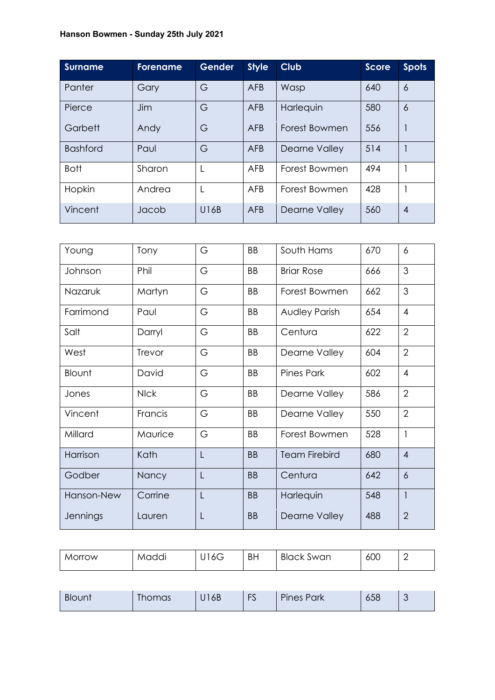## **Hanson Bowmen - Sunday 25th July 2021**

| <b>Surname</b>  | <b>Forename</b> | <b>Gender</b> | <b>Style</b> | <b>Club</b>   | Score | <b>Spots</b>     |
|-----------------|-----------------|---------------|--------------|---------------|-------|------------------|
| Panter          | Gary            | G             | <b>AFB</b>   | Wasp          | 640   | $\overline{6}$   |
| Pierce          | Jim             | G             | <b>AFB</b>   | Harlequin     | 580   | 6                |
| Garbett         | Andy            | G             | AFB          | Forest Bowmen | 556   |                  |
| <b>Bashford</b> | Paul            | G             | <b>AFB</b>   | Dearne Valley | 514   |                  |
| <b>Bott</b>     | Sharon          | L             | AFB          | Forest Bowmen | 494   |                  |
| Hopkin          | Andrea          | L             | AFB          | Forest Bowmen | 428   |                  |
| Vincent         | Jacob           | U16B          | <b>AFB</b>   | Dearne Valley | 560   | $\boldsymbol{A}$ |

| Young           | Tony        | G              | <b>BB</b> | South Hams           | 670 | 6              |
|-----------------|-------------|----------------|-----------|----------------------|-----|----------------|
| Johnson         | Phil        | G              | BB        | <b>Briar Rose</b>    | 666 | 3              |
| Nazaruk         | Martyn      | G              | <b>BB</b> | Forest Bowmen        | 662 | 3              |
| Farrimond       | Paul        | G              | BB        | <b>Audley Parish</b> | 654 | $\overline{4}$ |
| Salt            | Darryl      | G              | BB        | Centura              | 622 | $\overline{2}$ |
| West            | Trevor      | G              | BB        | Dearne Valley        | 604 | $\overline{2}$ |
| Blount          | David       | G              | BB        | <b>Pines Park</b>    | 602 | $\overline{4}$ |
| Jones           | <b>NIck</b> | G              | <b>BB</b> | Dearne Valley        | 586 | $\overline{2}$ |
| Vincent         | Francis     | G              | BB        | Dearne Valley        | 550 | $\overline{2}$ |
| Millard         | Maurice     | G              | <b>BB</b> | Forest Bowmen        | 528 | 1              |
| Harrison        | Kath        | L              | <b>BB</b> | <b>Team Firebird</b> | 680 | $\overline{4}$ |
| Godber          | Nancy       | L              | <b>BB</b> | Centura              | 642 | 6              |
| Hanson-New      | Corrine     | $\overline{L}$ | <b>BB</b> | Harlequin            | 548 | $\mathbf{1}$   |
| <b>Jennings</b> | Lauren      | L              | <b>BB</b> | Dearne Valley        | 488 | $\overline{2}$ |

| Morrow | Maddi | 16G<br>ັ | <b>BH</b> | <b>Black Swan</b> | 600 | - |
|--------|-------|----------|-----------|-------------------|-----|---|
|        |       |          |           |                   |     |   |

|  | Blount | <b>STATE</b><br>I homas | 6B<br>1.7 | $\Gamma$<br>$\overline{ }$<br>್ರ | $\overline{\phantom{a}}$<br>Park<br><b>Pines</b> | 658 |  |
|--|--------|-------------------------|-----------|----------------------------------|--------------------------------------------------|-----|--|
|--|--------|-------------------------|-----------|----------------------------------|--------------------------------------------------|-----|--|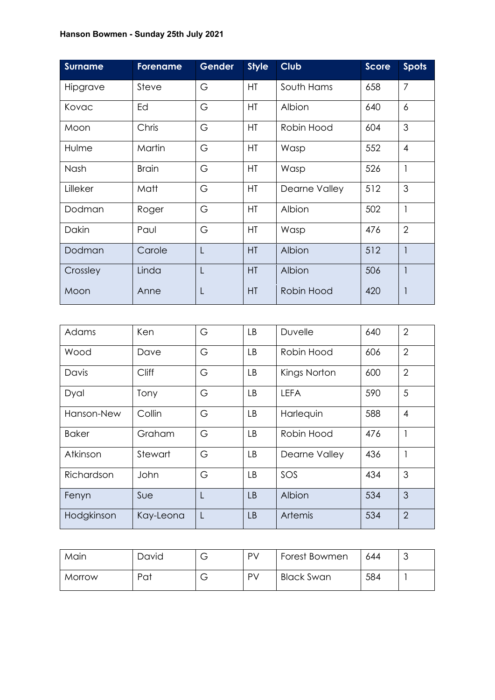## **Hanson Bowmen - Sunday 25th July 2021**

| <b>Surname</b> | <b>Forename</b> | <b>Gender</b> | <b>Style</b> | <b>Club</b>   | <b>Score</b> | <b>Spots</b>   |
|----------------|-----------------|---------------|--------------|---------------|--------------|----------------|
| Hipgrave       | Steve           | G             | <b>HT</b>    | South Hams    | 658          | $\overline{7}$ |
| Kovac          | Ed              | G             | HT           | Albion        | 640          | 6              |
| Moon           | Chris           | G             | <b>HT</b>    | Robin Hood    | 604          | 3              |
| Hulme          | Martin          | G             | HT           | Wasp          | 552          | $\overline{4}$ |
| Nash           | <b>Brain</b>    | G             | HT           | Wasp          | 526          | 1              |
| Lilleker       | Matt            | G             | HT           | Dearne Valley | 512          | 3              |
| Dodman         | Roger           | G             | HT           | Albion        | 502          | $\mathbf{1}$   |
| Dakin          | Paul            | G             | HT           | Wasp          | 476          | $\overline{2}$ |
| Dodman         | Carole          | L             | HT           | Albion        | 512          |                |
| Crossley       | Linda           | L             | HT           | Albion        | 506          |                |
| Moon           | Anne            | L             | HT           | Robin Hood    | 420          |                |

| Adams        | Ken          | G | <b>LB</b> | Duvelle        | 640 | $\overline{2}$ |
|--------------|--------------|---|-----------|----------------|-----|----------------|
| Wood         | Dave         | G | <b>LB</b> | Robin Hood     | 606 | $\overline{2}$ |
| Davis        | <b>Cliff</b> | G | LB        | Kings Norton   | 600 | $\overline{2}$ |
| Dyal         | Tony         | G | LB        | <b>LEFA</b>    | 590 | 5              |
| Hanson-New   | Collin       | G | LB        | Harlequin      | 588 | $\overline{4}$ |
| <b>Baker</b> | Graham       | G | <b>LB</b> | Robin Hood     | 476 |                |
| Atkinson     | Stewart      | G | LB        | Dearne Valley  | 436 |                |
| Richardson   | John         | G | LB.       | SOS            | 434 | 3              |
| Fenyn        | Sue          | L | <b>LB</b> | Albion         | 534 | 3              |
| Hodgkinson   | Kay-Leona    | L | <b>LB</b> | <b>Artemis</b> | 534 | $\overline{2}$ |

| Main   | David | v | PV | Forest Bowmen     | 644 | J |
|--------|-------|---|----|-------------------|-----|---|
| Morrow | Pat   | v | PV | <b>Black Swan</b> | 584 |   |